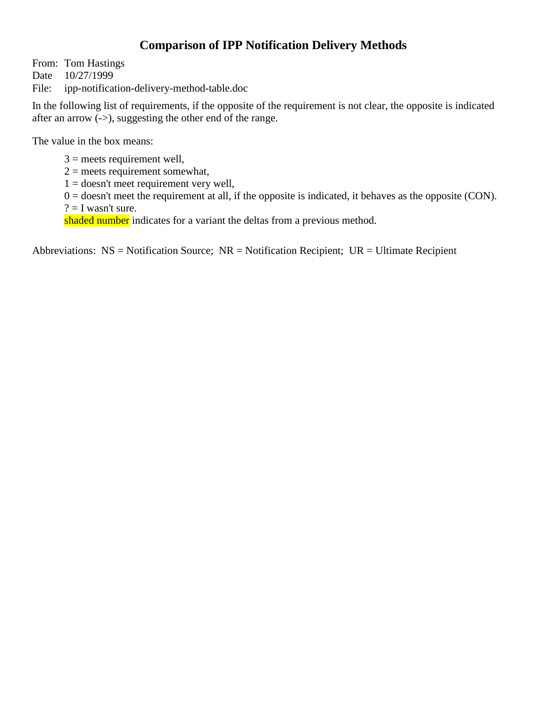## **Comparison of IPP Notification Delivery Methods**

From: Tom Hastings

Date 10/27/1999

File: ipp-notification-delivery-method-table.doc

In the following list of requirements, if the opposite of the requirement is not clear, the opposite is indicated after an arrow  $(-)$ , suggesting the other end of the range.

The value in the box means:

 $3$  = meets requirement well,

 $2$  = meets requirement somewhat,

 $1 =$  doesn't meet requirement very well,

 $0 =$  doesn't meet the requirement at all, if the opposite is indicated, it behaves as the opposite (CON).  $? = I$  wasn't sure.

shaded number indicates for a variant the deltas from a previous method.

Abbreviations:  $NS = Notification Source$ ;  $NR = Notification Recipient$ ;  $UR = Ultimate Recipient$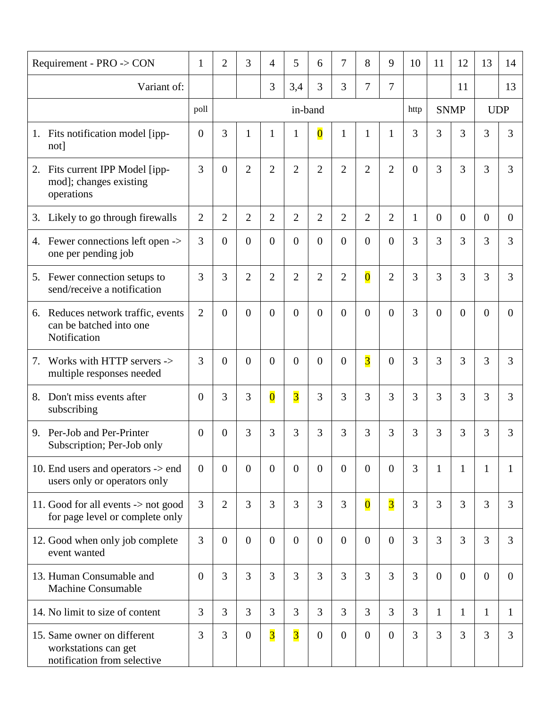| Requirement - PRO -> CON                                                           | $\mathbf{1}$   | $\overline{2}$ | 3              | 4                       | 5                       | 6                       | 7              | 8                       | 9              | 10             | 11             | 12             | 13             | 14             |
|------------------------------------------------------------------------------------|----------------|----------------|----------------|-------------------------|-------------------------|-------------------------|----------------|-------------------------|----------------|----------------|----------------|----------------|----------------|----------------|
| Variant of:                                                                        |                |                |                | $\overline{3}$          | 3,4                     | 3                       | 3              | 7                       | 7              |                |                | 11             |                | 13             |
|                                                                                    | poll           |                | in-band        |                         |                         |                         |                |                         |                |                | <b>SNMP</b>    |                | <b>UDP</b>     |                |
| Fits notification model [ipp-<br>1.<br>not]                                        | $\overline{0}$ | 3              | 1              | 1                       | 1                       | $\overline{\mathbf{0}}$ | 1              | $\mathbf{1}$            | 1              | 3              | 3              | 3              | 3              | 3              |
| Fits current IPP Model [ipp-<br>2.<br>mod]; changes existing<br>operations         | 3              | $\Omega$       | $\overline{2}$ | $\overline{2}$          | $\overline{2}$          | $\overline{2}$          | $\overline{2}$ | $\overline{2}$          | $\overline{2}$ | $\overline{0}$ | $\overline{3}$ | 3              | 3              | 3              |
| 3. Likely to go through firewalls                                                  | $\overline{2}$ | $\overline{2}$ | $\overline{2}$ | $\overline{2}$          | $\overline{2}$          | $\overline{2}$          | $\overline{2}$ | $\overline{2}$          | $\overline{2}$ | $\mathbf{1}$   | $\overline{0}$ | $\Omega$       | $\overline{0}$ | $\Omega$       |
| 4. Fewer connections left open -><br>one per pending job                           | 3              | $\theta$       | $\theta$       | $\overline{0}$          | $\overline{0}$          | $\overline{0}$          | $\overline{0}$ | $\overline{0}$          | $\overline{0}$ | 3              | 3              | 3              | 3              | 3              |
| 5. Fewer connection setups to<br>send/receive a notification                       | 3              | $\overline{3}$ | $\overline{2}$ | $\overline{2}$          | $\overline{2}$          | $\overline{2}$          | $\overline{2}$ | $\overline{\mathbf{0}}$ | $\overline{2}$ | $\overline{3}$ | $\overline{3}$ | 3              | 3              | $\overline{3}$ |
| Reduces network traffic, events<br>6.<br>can be batched into one<br>Notification   | $\overline{2}$ | $\Omega$       | $\theta$       | $\Omega$                | $\theta$                | $\overline{0}$          | $\overline{0}$ | $\theta$                | $\Omega$       | 3              | $\overline{0}$ | $\theta$       | $\overline{0}$ | $\Omega$       |
| Works with HTTP servers -><br>7.<br>multiple responses needed                      | 3              | $\Omega$       | $\theta$       | $\overline{0}$          | $\overline{0}$          | $\overline{0}$          | $\overline{0}$ | $\overline{3}$          | $\overline{0}$ | 3              | 3              | 3              | 3              | 3              |
| Don't miss events after<br>8.<br>subscribing                                       | $\overline{0}$ | 3              | 3              | $\overline{\mathbf{0}}$ | $\overline{3}$          | 3                       | 3              | 3                       | 3              | 3              | $\overline{3}$ | 3              | 3              | 3              |
| Per-Job and Per-Printer<br>9.<br>Subscription; Per-Job only                        | $\overline{0}$ | $\overline{0}$ | 3              | 3                       | 3                       | 3                       | 3              | 3                       | 3              | 3              | 3              | 3              | 3              | 3              |
| 10. End users and operators -> end<br>users only or operators only                 | $\overline{0}$ | $\Omega$       | $\Omega$       | $\overline{0}$          | $\theta$                | $\overline{0}$          | $\theta$       | $\Omega$                | $\theta$       | $\overline{3}$ | 1              | $\mathbf{1}$   | $\mathbf{1}$   | $\mathbf{1}$   |
| 11. Good for all events -> not good<br>for page level or complete only             | 3              | $\overline{2}$ | 3              | $\overline{3}$          | 3                       | 3                       | 3              | $\overline{\mathbf{0}}$ | $\overline{3}$ | 3              | 3              | 3              | 3              | 3              |
| 12. Good when only job complete<br>event wanted                                    | 3              | $\overline{0}$ | $\theta$       | $\overline{0}$          | $\overline{0}$          | $\boldsymbol{0}$        | $\theta$       | $\overline{0}$          | $\overline{0}$ | 3              | $\overline{3}$ | $\overline{3}$ | 3              | 3              |
| 13. Human Consumable and<br><b>Machine Consumable</b>                              | $\overline{0}$ | $\overline{3}$ | 3              | 3                       | $\overline{3}$          | 3                       | $\overline{3}$ | 3                       | $\overline{3}$ | 3              | $\overline{0}$ | $\Omega$       | $\overline{0}$ | $\overline{0}$ |
| 14. No limit to size of content                                                    | 3              | 3              | 3              | $\overline{3}$          | 3                       | 3                       | $\overline{3}$ | 3                       | $\overline{3}$ | 3              | $\mathbf{1}$   | $\mathbf{1}$   | $\mathbf{1}$   | $\mathbf{1}$   |
| 15. Same owner on different<br>workstations can get<br>notification from selective | 3              | 3              | $\theta$       | $\overline{\mathbf{3}}$ | $\overline{\mathbf{3}}$ | $\overline{0}$          | $\mathbf{0}$   | $\theta$                | $\overline{0}$ | 3              | $\overline{3}$ | $\overline{3}$ | 3              | 3              |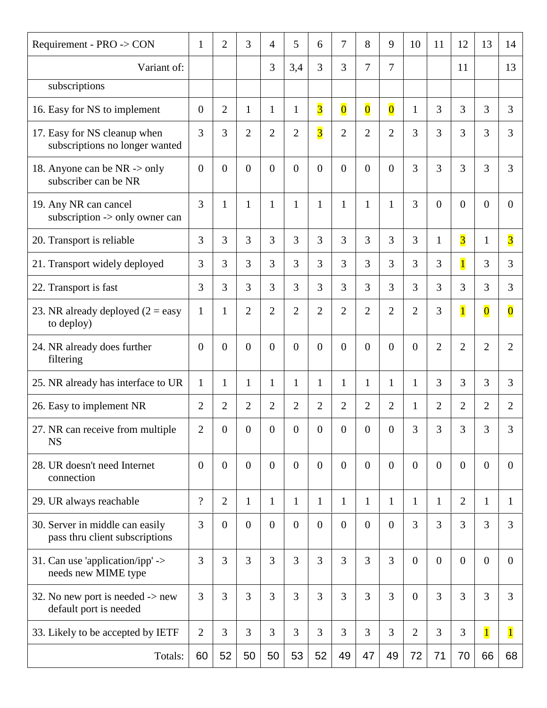| Requirement - PRO -> CON                                              | $\mathbf{1}$             | $\overline{2}$ | 3                | $\overline{4}$ | 5              | 6                       | 7                       | 8                       | 9                       | 10             | 11               | 12             | 13                      | 14                      |
|-----------------------------------------------------------------------|--------------------------|----------------|------------------|----------------|----------------|-------------------------|-------------------------|-------------------------|-------------------------|----------------|------------------|----------------|-------------------------|-------------------------|
| Variant of:                                                           |                          |                |                  | 3              | 3,4            | 3                       | 3                       | 7                       | 7                       |                |                  | 11             |                         | 13                      |
| subscriptions                                                         |                          |                |                  |                |                |                         |                         |                         |                         |                |                  |                |                         |                         |
| 16. Easy for NS to implement                                          | $\overline{0}$           | $\overline{2}$ | $\mathbf{1}$     | $\mathbf{1}$   | 1              | $\overline{\mathbf{3}}$ | $\overline{\mathbf{0}}$ | $\overline{\mathbf{0}}$ | $\overline{\mathbf{0}}$ | $\mathbf{1}$   | 3                | 3              | 3                       | 3                       |
| 17. Easy for NS cleanup when<br>subscriptions no longer wanted        | 3                        | 3              | $\overline{2}$   | $\overline{2}$ | $\overline{2}$ | $\overline{\mathbf{3}}$ | $\overline{2}$          | $\overline{2}$          | $\overline{2}$          | 3              | 3                | 3              | 3                       | 3                       |
| 18. Anyone can be NR -> only<br>subscriber can be NR                  | $\overline{0}$           | $\overline{0}$ | $\overline{0}$   | $\overline{0}$ | $\overline{0}$ | $\overline{0}$          | $\overline{0}$          | $\overline{0}$          | $\overline{0}$          | 3              | 3                | 3              | 3                       | 3                       |
| 19. Any NR can cancel<br>subscription -> only owner can               | 3                        | $\mathbf{1}$   | $\mathbf{1}$     | $\mathbf{1}$   | $\mathbf{1}$   | $\mathbf{1}$            | $\mathbf{1}$            | $\mathbf{1}$            | $\mathbf{1}$            | 3              | $\boldsymbol{0}$ | $\overline{0}$ | $\overline{0}$          | $\theta$                |
| 20. Transport is reliable                                             | 3                        | 3              | 3                | 3              | 3              | 3                       | 3                       | 3                       | 3                       | 3              | $\mathbf{1}$     | $\overline{3}$ | $\mathbf{1}$            | $\overline{\mathbf{3}}$ |
| 21. Transport widely deployed                                         | 3                        | 3              | 3                | $\overline{3}$ | 3              | 3                       | $\overline{3}$          | 3                       | 3                       | 3              | 3                | $\overline{1}$ | 3                       | 3                       |
| 22. Transport is fast                                                 | 3                        | 3              | 3                | 3              | 3              | 3                       | 3                       | 3                       | 3                       | 3              | 3                | 3              | 3                       | 3                       |
| 23. NR already deployed $(2 = e$ asy<br>to deploy)                    | $\mathbf{1}$             | $\mathbf{1}$   | $\overline{2}$   | $\overline{2}$ | $\overline{2}$ | $\overline{2}$          | $\overline{2}$          | $\overline{2}$          | $\overline{2}$          | $\overline{2}$ | 3                | $\overline{1}$ | $\overline{\mathbf{0}}$ | $\overline{\mathbf{0}}$ |
| 24. NR already does further<br>filtering                              | $\overline{0}$           | $\theta$       | $\Omega$         | $\overline{0}$ | $\overline{0}$ | $\overline{0}$          | $\overline{0}$          | $\overline{0}$          | $\overline{0}$          | $\overline{0}$ | $\overline{2}$   | $\overline{2}$ | $\overline{2}$          | 2                       |
| 25. NR already has interface to UR                                    | $\mathbf{1}$             | $\mathbf{1}$   | $\mathbf{1}$     | $\mathbf{1}$   | $\mathbf{1}$   | $\mathbf{1}$            | $\mathbf{1}$            | 1                       | 1                       | $\mathbf{1}$   | 3                | 3              | 3                       | 3                       |
| 26. Easy to implement NR                                              | $\overline{2}$           | $\overline{2}$ | 2                | $\overline{2}$ | $\overline{2}$ | $\overline{2}$          | $\overline{2}$          | $\overline{2}$          | $\overline{2}$          | 1              | $\overline{2}$   | $\overline{2}$ | $\overline{2}$          | $\overline{2}$          |
| 27. NR can receive from multiple<br><b>NS</b>                         | $\mathfrak{2}$           | $\overline{0}$ | $\boldsymbol{0}$ | $\overline{0}$ | $\overline{0}$ | $\overline{0}$          | $\boldsymbol{0}$        | $\boldsymbol{0}$        | $\overline{0}$          | 3              | 3                | 3              | 3                       | 3                       |
| 28. UR doesn't need Internet<br>connection                            | $\overline{0}$           | $\overline{0}$ | $\theta$         | $\overline{0}$ | $\overline{0}$ | $\mathbf{0}$            | $\overline{0}$          | $\theta$                | $\overline{0}$          | $\overline{0}$ | $\theta$         | $\overline{0}$ | $\overline{0}$          | $\overline{0}$          |
| 29. UR always reachable                                               | $\overline{\mathcal{L}}$ | $\overline{2}$ | $\mathbf{1}$     | $\mathbf{1}$   | $\mathbf{1}$   | $\mathbf{1}$            | $\mathbf{1}$            | $\mathbf{1}$            | $\mathbf{1}$            | $\mathbf{1}$   | $\mathbf{1}$     | $\overline{2}$ | $\mathbf{1}$            | 1                       |
| 30. Server in middle can easily<br>pass thru client subscriptions     | 3                        | $\overline{0}$ | $\overline{0}$   | $\overline{0}$ | $\overline{0}$ | $\mathbf{0}$            | $\overline{0}$          | $\theta$                | $\overline{0}$          | 3              | 3                | 3              | 3                       | 3                       |
| 31. Can use 'application/ipp' -><br>needs new MIME type               | 3                        | 3              | 3                | 3              | 3              | 3                       | 3                       | 3                       | 3                       | $\overline{0}$ | $\overline{0}$   | $\theta$       | $\overline{0}$          | $\theta$                |
| 32. No new port is needed $\rightarrow$ new<br>default port is needed | 3                        | 3              | 3                | $\overline{3}$ | $\overline{3}$ | 3                       | $\overline{3}$          | 3                       | 3                       | $\overline{0}$ | $\overline{3}$   | $\overline{3}$ | 3                       | 3                       |
| 33. Likely to be accepted by IETF                                     | $\overline{2}$           | 3              | 3                | 3              | 3              | 3                       | $\overline{3}$          | 3                       | 3                       | $\overline{2}$ | 3                | 3              | $\overline{1}$          | $\overline{1}$          |
| Totals:                                                               | 60                       | 52             | 50               | 50             | 53             | 52                      | 49                      | 47                      | 49                      | 72             | 71               | 70             | 66                      | 68                      |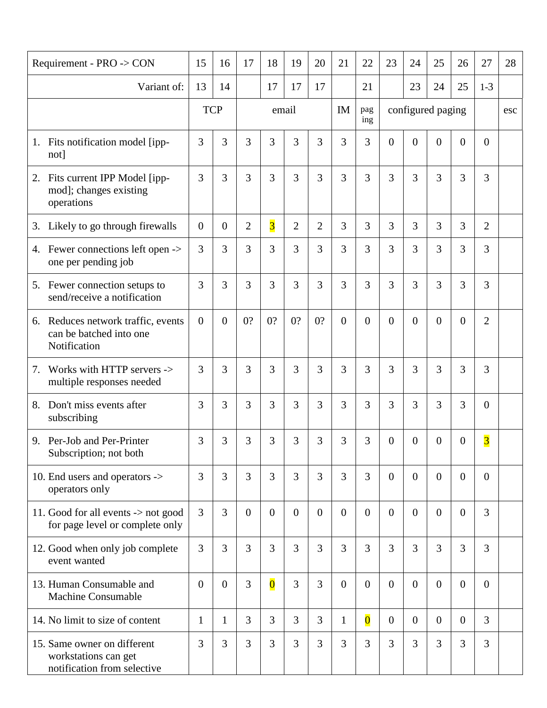| Requirement - PRO -> CON                              |                                                                        | 15             | 16             | 17             | 18                      | 19             | 20             | 21             | 22                      | 23                | 24             | 25             | 26             | 27                      | 28  |
|-------------------------------------------------------|------------------------------------------------------------------------|----------------|----------------|----------------|-------------------------|----------------|----------------|----------------|-------------------------|-------------------|----------------|----------------|----------------|-------------------------|-----|
| Variant of:                                           |                                                                        | 13             | 14             |                | 17                      | 17             | 17             |                | 21                      |                   | 23             | 24             | 25             | $1-3$                   |     |
|                                                       |                                                                        |                | <b>TCP</b>     |                |                         | email          |                | IM             | pag<br>ing              | configured paging |                |                |                |                         | esc |
| 1.<br>not]                                            | Fits notification model [ipp-                                          | 3              | 3              | 3              | 3                       | 3              | 3              | 3              | 3                       | $\Omega$          | $\overline{0}$ | $\overline{0}$ | $\overline{0}$ | $\overline{0}$          |     |
| 2.<br>mod]; changes existing<br>operations            | Fits current IPP Model [ipp-                                           | 3              | 3              | 3              | $\overline{3}$          | 3              | 3              | 3              | 3                       | 3                 | 3              | $\overline{3}$ | 3              | 3                       |     |
| 3.                                                    | Likely to go through firewalls                                         | $\overline{0}$ | $\overline{0}$ | $\overline{2}$ | $\overline{3}$          | $\overline{2}$ | $\overline{2}$ | 3              | 3                       | 3                 | 3              | 3              | 3              | $\overline{2}$          |     |
| 4.<br>one per pending job                             | Fewer connections left open ->                                         | 3              | 3              | 3              | $\overline{3}$          | 3              | 3              | 3              | $\overline{3}$          | $\overline{3}$    | 3              | 3              | 3              | 3                       |     |
| 5.                                                    | Fewer connection setups to<br>send/receive a notification              | 3              | 3              | 3              | 3                       | 3              | 3              | 3              | 3                       | 3                 | 3              | 3              | 3              | 3                       |     |
| 6.<br>can be batched into one<br>Notification         | Reduces network traffic, events                                        | $\theta$       | $\overline{0}$ | 0?             | 0?                      | 0?             | 0?             | $\overline{0}$ | $\overline{0}$          | $\theta$          | $\overline{0}$ | $\overline{0}$ | $\overline{0}$ | 2                       |     |
| 7.                                                    | Works with HTTP servers -><br>multiple responses needed                | 3              | 3              | 3              | 3                       | 3              | 3              | 3              | 3                       | 3                 | 3              | 3              | 3              | 3                       |     |
| Don't miss events after<br>8.<br>subscribing          |                                                                        | 3              | 3              | 3              | 3                       | 3              | 3              | 3              | 3                       | 3                 | 3              | 3              | 3              | $\overline{0}$          |     |
| 9. Per-Job and Per-Printer<br>Subscription; not both  |                                                                        | 3              | 3              | 3              | 3                       | 3              | 3              | 3              | 3                       | $\overline{0}$    | $\overline{0}$ | $\overline{0}$ | $\overline{0}$ | $\overline{\mathbf{3}}$ |     |
| 10. End users and operators -><br>operators only      |                                                                        | 3              | $\overline{3}$ | 3              | 3                       | 3              | 3              | 3              | 3                       | $\overline{0}$    | $\theta$       | $\overline{0}$ | $\Omega$       | $\overline{0}$          |     |
|                                                       | 11. Good for all events -> not good<br>for page level or complete only | $\overline{3}$ | $\overline{3}$ | $\theta$       | $\overline{0}$          | $\overline{0}$ | $\mathbf{0}$   | $\overline{0}$ | $\overline{0}$          | $\overline{0}$    | $\overline{0}$ | $\overline{0}$ | $\overline{0}$ | 3                       |     |
| event wanted                                          | 12. Good when only job complete                                        | $\overline{3}$ | $\overline{3}$ | 3              | $\overline{3}$          | 3              | $\overline{3}$ | $\overline{3}$ | 3                       | $\overline{3}$    | 3              | 3              | 3              | 3                       |     |
| 13. Human Consumable and<br><b>Machine Consumable</b> |                                                                        | $\overline{0}$ | $\theta$       | 3              | $\overline{\mathbf{0}}$ | 3              | 3              | $\overline{0}$ | $\overline{0}$          | $\overline{0}$    | $\theta$       | $\overline{0}$ | $\overline{0}$ | $\overline{0}$          |     |
| 14. No limit to size of content                       |                                                                        | $\mathbf{1}$   | $\mathbf{1}$   | 3              | 3                       | 3              | 3              | $\mathbf{1}$   | $\overline{\mathbf{0}}$ | $\overline{0}$    | $\overline{0}$ | $\overline{0}$ | $\theta$       | 3                       |     |
| 15. Same owner on different<br>workstations can get   | notification from selective                                            | 3              | $\overline{3}$ | 3              | $\overline{3}$          | 3              | 3              | 3              | 3                       | $\overline{3}$    | 3              | $\overline{3}$ | 3              | 3                       |     |